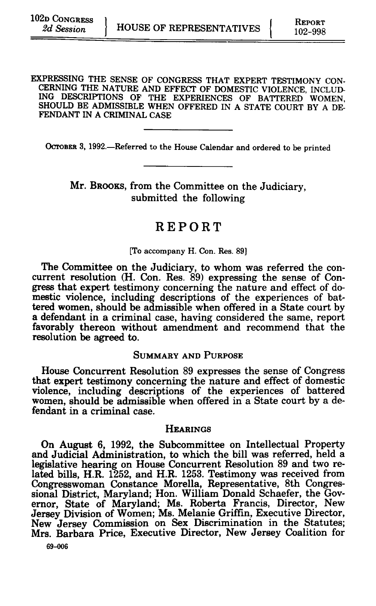EXPRESSING THE SENSE OF CONGRESS THAT EXPERT TESTIMONY CON-CERNING THE NATURE **AND** EFFECT OF DOMESTIC VIOLENCE, INCLUD-ING DESCRIPTIONS OF THE EXPERIENCES OF BATTERED WOMEN, SHOULD BE ADMISSIBLE WHEN OFFERED IN A STATE COURT BY A DE-FENDANT IN A CRIMINAL CASE

OCTOBER **3,** 1992.-Referred to the House Calendar and ordered to be printed

Mr. BROOKS, from the Committee on the Judiciary, submitted the following

# REPORT

#### [To accompany H. Con. Res. **89]**

The Committee on the Judiciary, to whom was referred the concurrent resolution (H. Con. Res. **89)** expressing the sense of Congress that expert testimony concerning the nature and effect of domestic violence, including descriptions of the experiences of battered women, should be admissible when offered in a State court by a defendant in a criminal case, having considered the same, report favorably thereon without amendment and recommend that the resolution be agreed to.

## SUMMARY **AND PURPOSE**

House Concurrent Resolution **89** expresses the sense of Congress that expert testimony concerning the nature and effect of domestic violence, including descriptions of the experiences of battered women, should be admissible when offered in a State court by a defendant in a criminal case.

### **HEARINGS**

On August **6, 1992,** the Subcommittee on Intellectual Property and Judicial Administration, to which the bill was referred, held a legislative hearing on House Concurrent Resolution **89** and two related bills, H.R. **1252,** and H.R. **1253.** Testimony was received from Congresswoman Constance Morella, Representative, 8th Congressional District, Maryland; Hon. William Donald Schaefer, the Governor, State of Maryland; Ms. Roberta Francis, Director, New Jersey Division of Women; Ms. Melanie Griffin, Executive Director, New Jersey Commission on Sex Discrimination in the Statutes; Mrs. Barbara Price, Executive Director, New Jersey Coalition for

**69-006**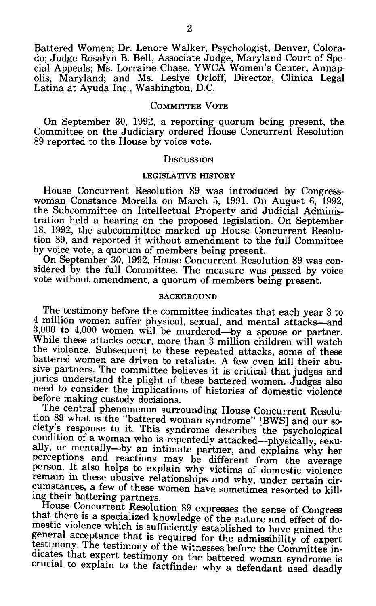Battered Women; Dr. Lenore Walker, Psychologist, Denver, Colora-<br>do; Judge Rosalyn B. Bell, Associate Judge, Maryland Court of Special Appeals; Ms. Lorraine Chase, YWCA Women's Center, Annap-<br>olis, Maryland; and Ms. Leslye Orloff, Director, Clinica Legal Latina at Ayuda Inc., Washington, D.C.

### COMMITTEE VOTE

On September 30, 1992, a reporting quorum being present, the Committee on the Judiciary ordered House Concurrent Resolution 89 reported to the House by voice vote.

### **DISCUSSION**

#### **LEGISLATIVE** HISTORY

House Concurrent Resolution **89** was introduced **by** Congresswoman Constance Morella on March **5, 1991.** On August **6, 1992,** the Subcommittee on Intellectual Property and Judicial Adminis-18, 1992, the subcommittee marked up House Concurrent Resolution 89, and reported it without amendment to the full Committee by voice vote, a quorum of members being present.

**by** voice vote, a quorum of members being present. On September **30, 1992,** House Concurrent Resolution **89** was con- sidered **by** the full Committee. The measure was passed **by** voice vote without amendment, a quorum of members being present.

#### **BACKGROUND**

The testimony before the committee indicates that each year 3 to 4 million women suffer physical, sexual, and mental attacks—and 3,000 to 4,000 women will be murdered—by a spouse or partner. While these attacks occur, more than 3 million children will watch<br>the violence. Subsequent to these repeated attacks, some of these<br>battered women are driven to retaliate. A few even kill their abu-<br>sive partners. The com before making custody decisions.<br>The central phenomenon surrounding House Concurrent Resolu-

tion 89 what is the "battered woman syndrome" [BWS] and our so-<br>ciety's response to it. This syndrome describes the psychological<br>condition of a woman who is repeatedly attacked—physically, sexually, or mentally-by an intimate partner, and explains why her perceptions and reactions may be different from the average person. It also helps to explain why victims of domestic violence remain in these abusive relationships and why, under certain circumstances, a few of these women have sometimes resorted to kill-

House Concurrent Resolution 89 expresses the sense of Congress<br>that there is a specialized knowledge of the nature and effect of do-<br>mestic violence which is sufficiently established to have gained the<br>general acceptance t